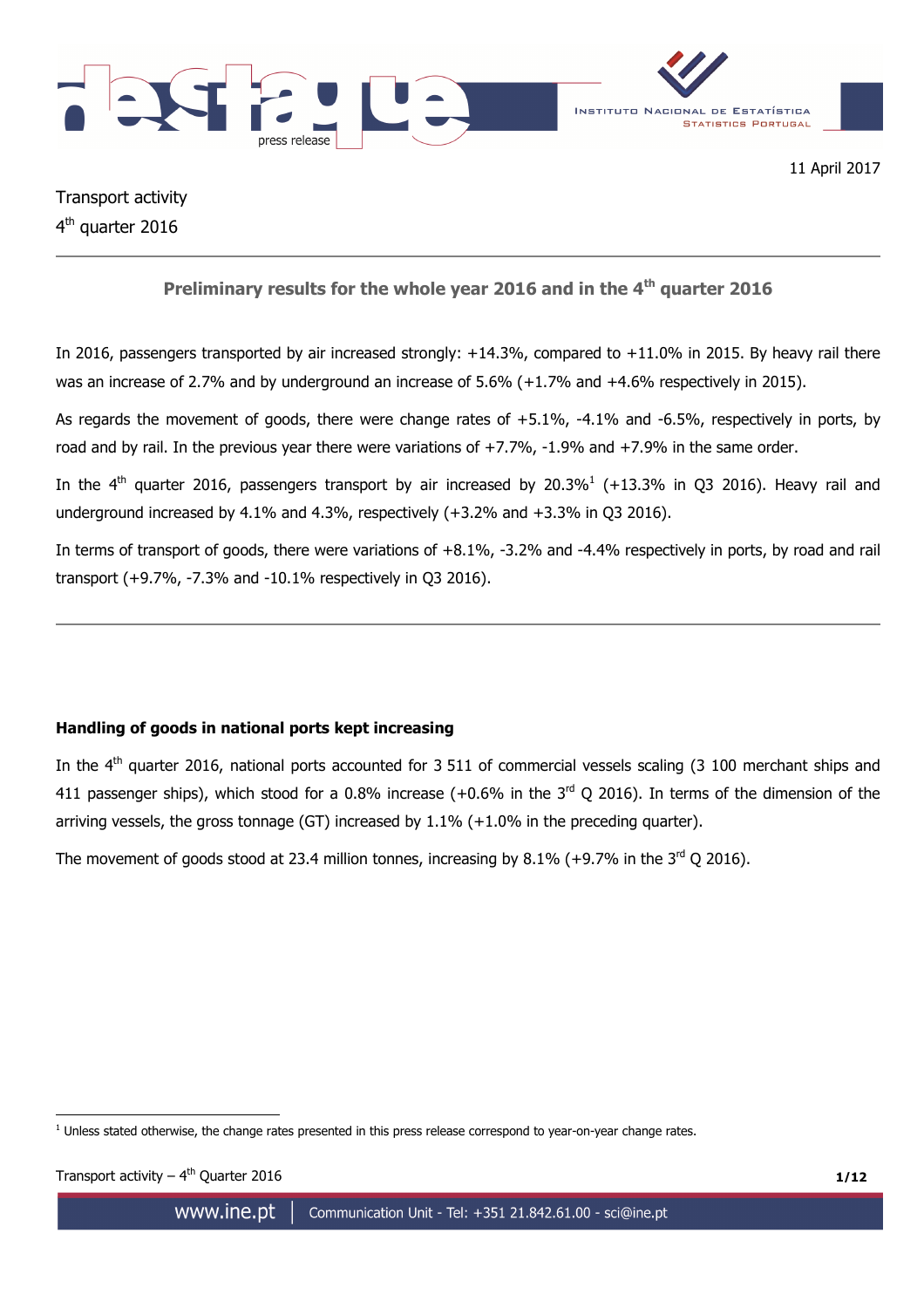



Transport activity 4<sup>th</sup> quarter 2016

# **Preliminary results for the whole year 2016 and in the 4th quarter 2016**

In 2016, passengers transported by air increased strongly: +14.3%, compared to +11.0% in 2015. By heavy rail there was an increase of 2.7% and by underground an increase of 5.6% (+1.7% and +4.6% respectively in 2015).

As regards the movement of goods, there were change rates of +5.1%, -4.1% and -6.5%, respectively in ports, by road and by rail. In the previous year there were variations of +7.7%, -1.9% and +7.9% in the same order.

In the 4<sup>th</sup> quarter 2016, passengers transport by air increased by 20.3%<sup>1</sup> (+13.3% in Q3 2016). Heavy rail and underground increased by 4.1% and 4.3%, respectively (+3.2% and +3.3% in Q3 2016).

In terms of transport of goods, there were variations of +8.1%, -3.2% and -4.4% respectively in ports, by road and rail transport (+9.7%, -7.3% and -10.1% respectively in Q3 2016).

# **Handling of goods in national ports kept increasing**

In the  $4<sup>th</sup>$  quarter 2016, national ports accounted for 3 511 of commercial vessels scaling (3 100 merchant ships and 411 passenger ships), which stood for a 0.8% increase  $(+0.6\%$  in the  $3<sup>rd</sup>$  O 2016). In terms of the dimension of the arriving vessels, the gross tonnage (GT) increased by 1.1% (+1.0% in the preceding quarter).

The movement of goods stood at 23.4 million tonnes, increasing by 8.1% (+9.7% in the  $3<sup>rd</sup>$  O 2016).

 $\overline{a}$ <sup>1</sup> Unless stated otherwise, the change rates presented in this press release correspond to year-on-year change rates.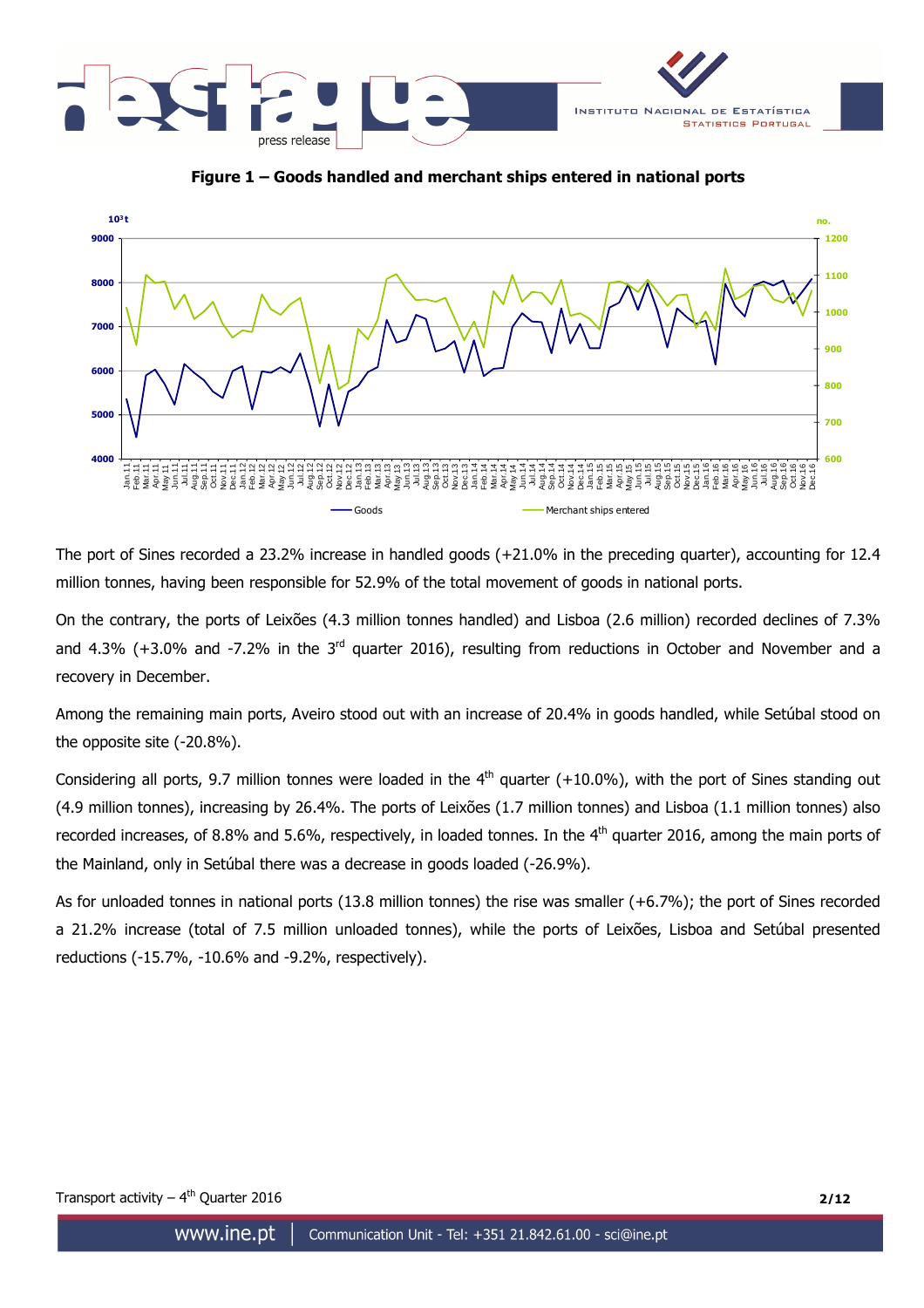





The port of Sines recorded a 23.2% increase in handled goods (+21.0% in the preceding quarter), accounting for 12.4 million tonnes, having been responsible for 52.9% of the total movement of goods in national ports.

On the contrary, the ports of Leixões (4.3 million tonnes handled) and Lisboa (2.6 million) recorded declines of 7.3% and 4.3% ( $+3.0$ % and  $-7.2$ % in the  $3<sup>rd</sup>$  quarter 2016), resulting from reductions in October and November and a recovery in December.

Among the remaining main ports, Aveiro stood out with an increase of 20.4% in goods handled, while Setúbal stood on the opposite site (-20.8%).

Considering all ports, 9.7 million tonnes were loaded in the  $4<sup>th</sup>$  quarter (+10.0%), with the port of Sines standing out (4.9 million tonnes), increasing by 26.4%. The ports of Leixões (1.7 million tonnes) and Lisboa (1.1 million tonnes) also recorded increases, of 8.8% and 5.6%, respectively, in loaded tonnes. In the  $4<sup>th</sup>$  quarter 2016, among the main ports of the Mainland, only in Setúbal there was a decrease in goods loaded (-26.9%).

As for unloaded tonnes in national ports (13.8 million tonnes) the rise was smaller (+6.7%); the port of Sines recorded a 21.2% increase (total of 7.5 million unloaded tonnes), while the ports of Leixões, Lisboa and Setúbal presented reductions (-15.7%, -10.6% and -9.2%, respectively).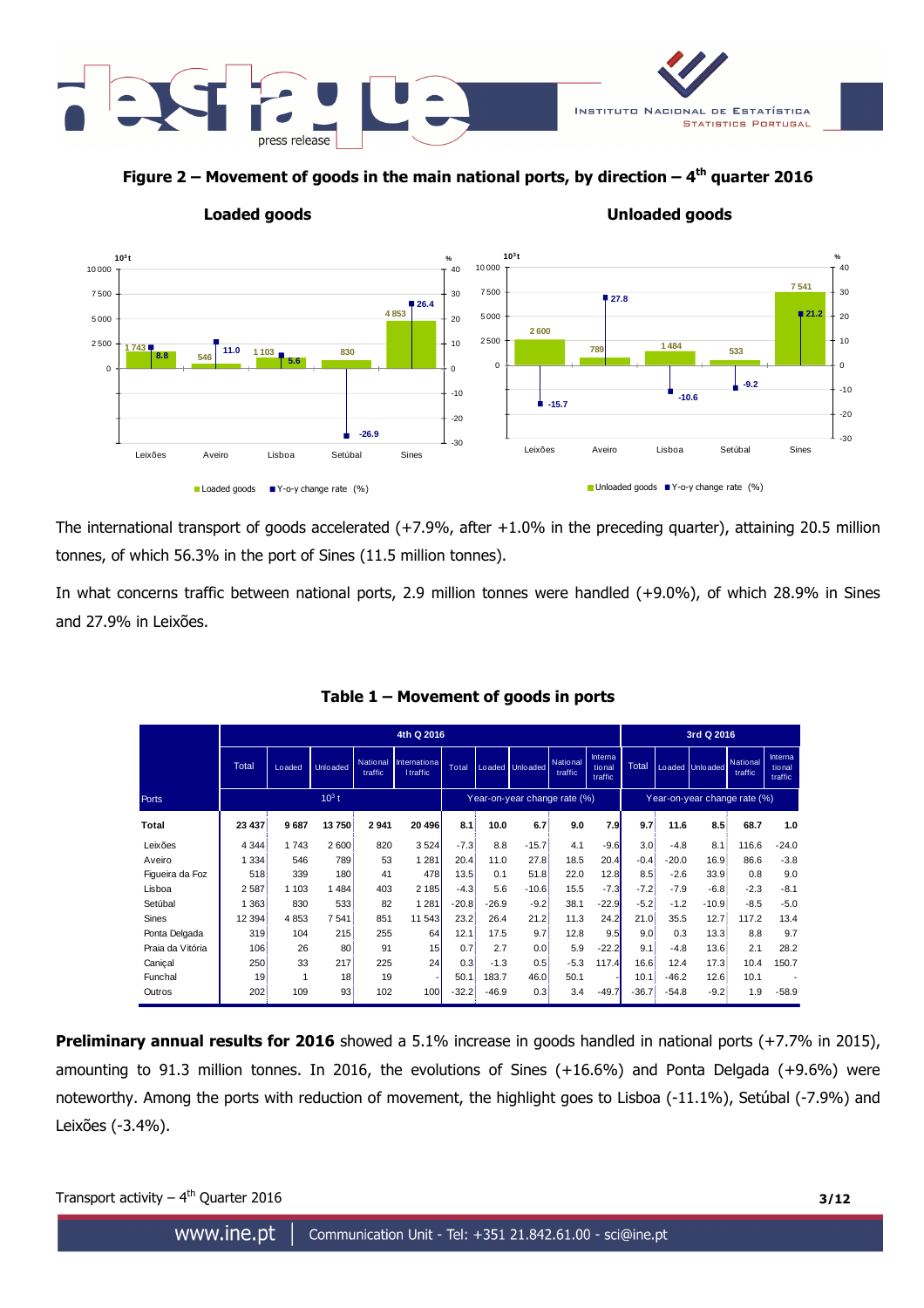

**Figure 2 – Movement of goods in the main national ports, by direction – 4th quarter 2016** 



**Loaded goods Unloaded goods** 

The international transport of goods accelerated (+7.9%, after +1.0% in the preceding quarter), attaining 20.5 million tonnes, of which 56.3% in the port of Sines (11.5 million tonnes).

In what concerns traffic between national ports, 2.9 million tonnes were handled (+9.0%), of which 28.9% in Sines and 27.9% in Leixões.

|                  | 4th Q 2016   |         |                  |                            |                                        |         |         | 3rd Q 2016                   |                            |                               |                  |         |                   |                              |                              |
|------------------|--------------|---------|------------------|----------------------------|----------------------------------------|---------|---------|------------------------------|----------------------------|-------------------------------|------------------|---------|-------------------|------------------------------|------------------------------|
|                  | <b>Total</b> | Loaded  | <b>Unlo</b> aded | <b>National</b><br>traffic | <b>Internationa</b><br><b>Itraffic</b> | Total   |         | Loaded Unloaded              | <b>National</b><br>traffic | Interna<br>tio nal<br>traffic | Total            |         | Loaded Unloaded   | National<br>traffic          | Interna<br>tional<br>traffic |
| <b>Ports</b>     |              |         | $10^3 t$         |                            |                                        |         |         | Year-on-year change rate (%) |                            |                               |                  |         |                   | Year-on-year change rate (%) |                              |
| Total            | 23 437       | 9687    | 13 750           | 2941                       | 20 496                                 | 8.1     | 10.0    | 6.7%                         | 9.0                        | 7.9                           | 9.7              | 11.6    | 8.5%              | 68.7                         | 1.0                          |
| Leixões          | 4 3 4 4      | 1743    | 2 600            | 820                        | 3524                                   | $-7.3$  | 8.8     | $-15.7$                      | 4.1                        | $-9.6$                        | 3.0 <sup>3</sup> | $-4.8$  | 8.1               | 116.6                        | $-24.0$                      |
| Aveiro           | 1 3 3 4      | 546     | 789              | 53                         | 1 2 8 1                                | 20.4    | 11.0    | 27.8                         | 18.5                       | 20.4                          | $-0.4$           | $-20.0$ | 16.9 <sup>3</sup> | 86.6                         | $-3.8$                       |
| Figueira da Foz  | 518          | 339     | 180:             | 41                         | 478                                    | 13.58   | 0.1     | 51.8                         | 22.0                       | 12.8                          | 8.5              | $-2.6$  | 33.9 <sup>8</sup> | 0.8                          | 9.0                          |
| Lisboa           | 2587         | 1 1 0 3 | 1484             | 403                        | 2 185                                  | $-4.3$  | 5.6     | $-10.6$                      | 15.5                       | $-7.3$                        | $-7.2$           | $-7.9$  | $-6.8$            | $-2.3$                       | $-8.1$                       |
| Setúbal          | 1 3 6 3      | 830     | 533              | 82                         | 1 2 8 1                                | $-20.8$ | $-26.9$ | $-9.2$                       | 38.1                       | $-22.9$                       | $-5.2$           | $-1.2$  | $-10.9$           | $-8.5$                       | $-5.0$                       |
| Sines            | 12 3 94      | 4853    | 7 5 41           | 851                        | 11 543                                 | 23.2    | 26.4    | 21.2                         | 11.3                       | 24.2                          | 21.0             | 35.5    | 12.7 <sup>8</sup> | 117.2                        | 13.4                         |
| Ponta Delgada    | 319          | 104     | 215!             | 255                        | 64                                     | 12.1    | 17.5    | 9.7 <sup>8</sup>             | 12.8                       | 9.5                           | 9.0              | 0.3     | 13.3              | 8.8                          | 9.7                          |
| Praia da Vitória | 106          | 26      | 80               | 91                         | 15                                     | 0.7     | 2.7     | 0.0                          | 5.9                        | $-22.2$                       | 9.1              | $-4.8$  | 13.6              | 2.1                          | 28.2                         |
| Canical          | 250          | 33      | 217 <sup>1</sup> | 225                        | 24                                     | 0.3     | $-1.3$  | 0.5                          | $-5.3$                     | 117.4                         | 16.6             | 12.4    | 17.3              | 10.4                         | 150.7                        |
| Funchal          | 19           | 1       | 18 <sup>1</sup>  | 19                         |                                        | 50.1    | 183.7   | 46.0                         | 50.1                       |                               | 10.1             | $-46.2$ | 12.6              | 10.1                         |                              |
| Outros           | 202          | 109     | 93               | 102                        | 100                                    | $-32.2$ | $-46.9$ | 0.3                          | 3.4                        | $-49.7$                       | $-36.7$          | $-54.8$ | $-9.2$            | 1.9                          | $-58.9$                      |

**Table 1 – Movement of goods in ports** 

**Preliminary annual results for 2016** showed a 5.1% increase in goods handled in national ports (+7.7% in 2015), amounting to 91.3 million tonnes. In 2016, the evolutions of Sines (+16.6%) and Ponta Delgada (+9.6%) were noteworthy. Among the ports with reduction of movement, the highlight goes to Lisboa (-11.1%), Setúbal (-7.9%) and Leixões (-3.4%).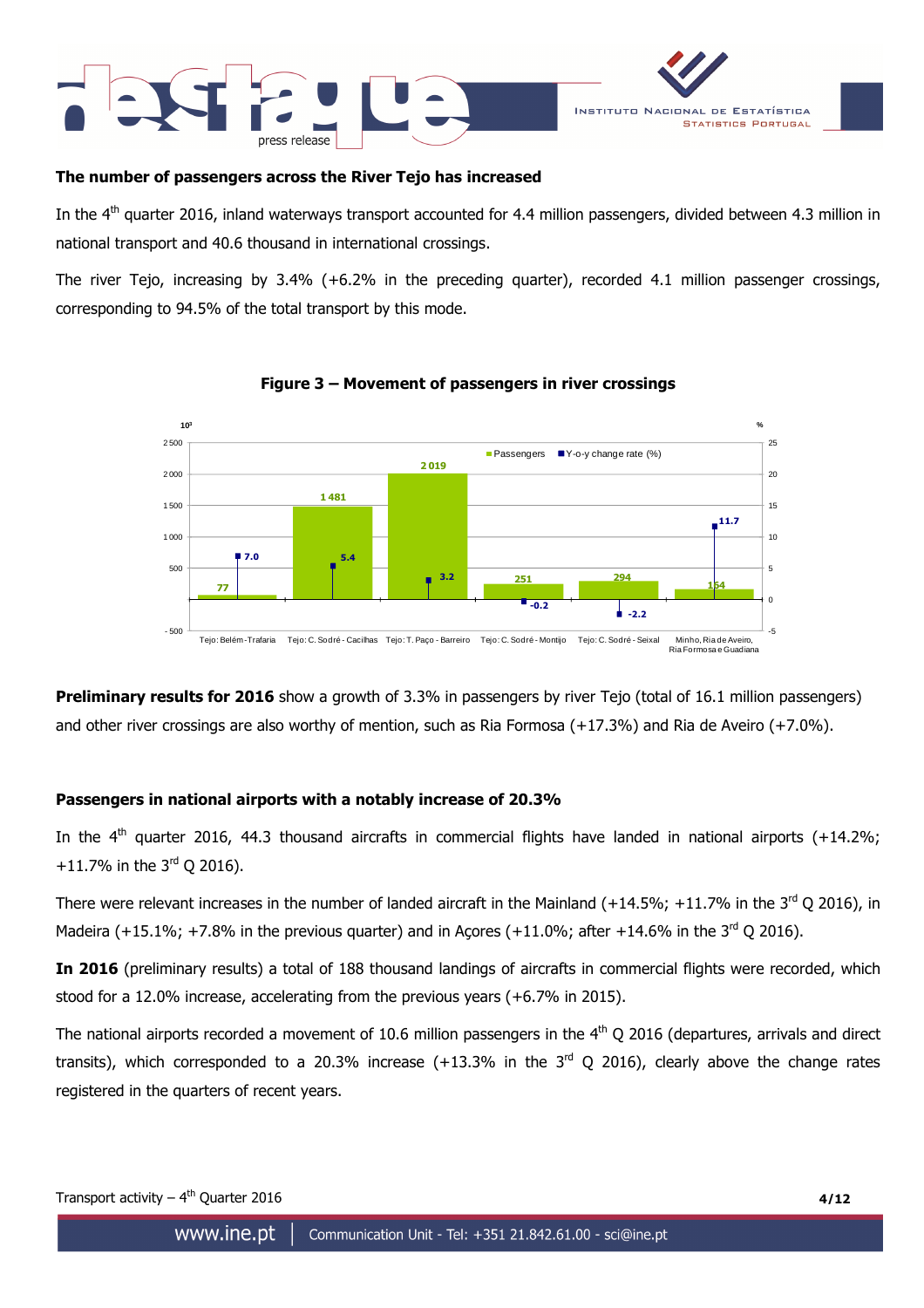



### **The number of passengers across the River Tejo has increased**

In the  $4<sup>th</sup>$  quarter 2016, inland waterways transport accounted for 4.4 million passengers, divided between 4.3 million in national transport and 40.6 thousand in international crossings.

The river Tejo, increasing by 3.4% (+6.2% in the preceding quarter), recorded 4.1 million passenger crossings, corresponding to 94.5% of the total transport by this mode.



## **Figure 3 – Movement of passengers in river crossings**

**Preliminary results for 2016** show a growth of 3.3% in passengers by river Tejo (total of 16.1 million passengers) and other river crossings are also worthy of mention, such as Ria Formosa (+17.3%) and Ria de Aveiro (+7.0%).

# **Passengers in national airports with a notably increase of 20.3%**

In the  $4<sup>th</sup>$  quarter 2016, 44.3 thousand aircrafts in commercial flights have landed in national airports (+14.2%; +11.7% in the  $3^{rd}$  Q 2016).

There were relevant increases in the number of landed aircraft in the Mainland (+14.5%; +11.7% in the 3<sup>rd</sup> Q 2016), in Madeira (+15.1%; +7.8% in the previous quarter) and in Acores (+11.0%; after +14.6% in the 3<sup>rd</sup> O 2016).

**In 2016** (preliminary results) a total of 188 thousand landings of aircrafts in commercial flights were recorded, which stood for a 12.0% increase, accelerating from the previous years (+6.7% in 2015).

The national airports recorded a movement of 10.6 million passengers in the  $4<sup>th</sup>$  Q 2016 (departures, arrivals and direct transits), which corresponded to a 20.3% increase  $(+13.3\%$  in the  $3<sup>rd</sup>$  Q 2016), clearly above the change rates registered in the quarters of recent years.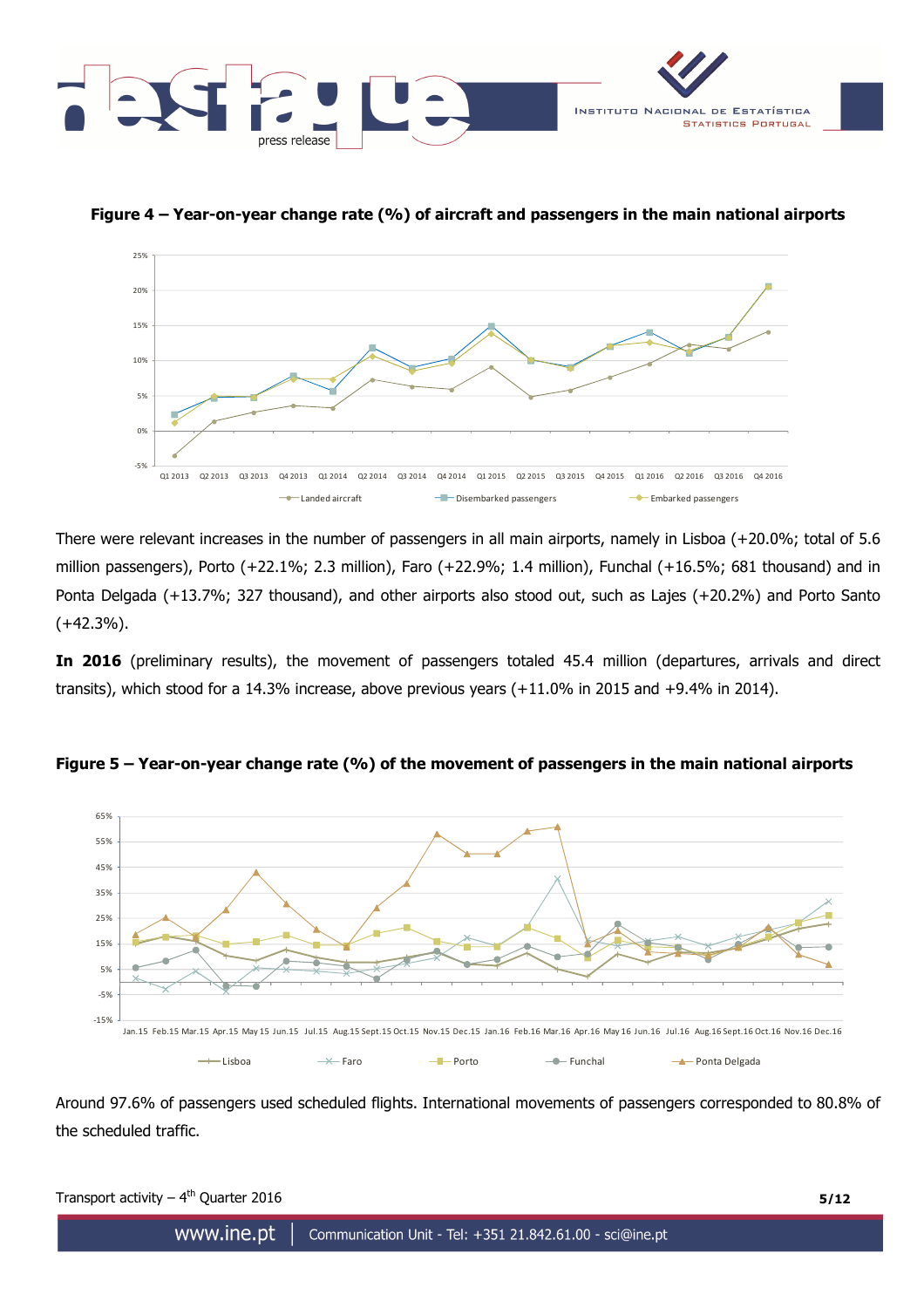

25%

**Figure 4 – Year-on-year change rate (%) of aircraft and passengers in the main national airports** 



There were relevant increases in the number of passengers in all main airports, namely in Lisboa (+20.0%; total of 5.6 million passengers), Porto (+22.1%; 2.3 million), Faro (+22.9%; 1.4 million), Funchal (+16.5%; 681 thousand) and in Ponta Delgada (+13.7%; 327 thousand), and other airports also stood out, such as Lajes (+20.2%) and Porto Santo  $(+42.3\%)$ .

**In 2016** (preliminary results), the movement of passengers totaled 45.4 million (departures, arrivals and direct transits), which stood for a 14.3% increase, above previous years (+11.0% in 2015 and +9.4% in 2014).



**Figure 5 – Year-on-year change rate (%) of the movement of passengers in the main national airports** 

Around 97.6% of passengers used scheduled flights. International movements of passengers corresponded to 80.8% of the scheduled traffic.

| Transport activity $-4^{th}$ Quarter 2016 |                                                                                 | 5/12 |
|-------------------------------------------|---------------------------------------------------------------------------------|------|
|                                           | WWW.INE.DT $\parallel$ Communication Unit - Tel: +351 21.842.61.00 - sci@ine.pt |      |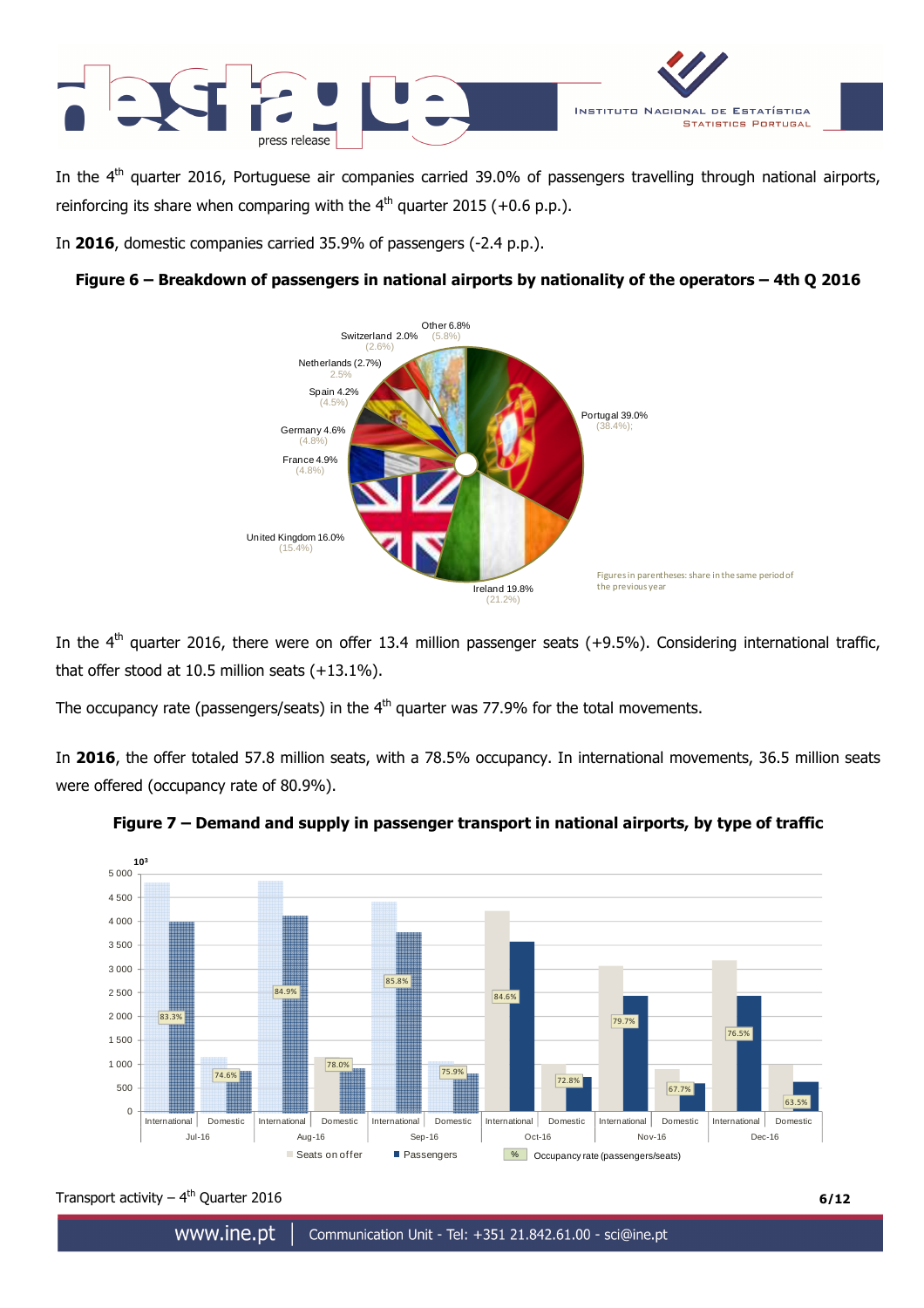

In the  $4<sup>th</sup>$  quarter 2016, Portuguese air companies carried 39.0% of passengers travelling through national airports, reinforcing its share when comparing with the  $4<sup>th</sup>$  quarter 2015 (+0.6 p.p.).

In **2016**, domestic companies carried 35.9% of passengers (-2.4 p.p.).





In the  $4<sup>th</sup>$  quarter 2016, there were on offer 13.4 million passenger seats (+9.5%). Considering international traffic, that offer stood at 10.5 million seats (+13.1%).

The occupancy rate (passengers/seats) in the  $4<sup>th</sup>$  quarter was 77.9% for the total movements.

In **2016**, the offer totaled 57.8 million seats, with a 78.5% occupancy. In international movements, 36.5 million seats were offered (occupancy rate of 80.9%).





Transport activity  $-4^{th}$  Quarter 2016 **6/12**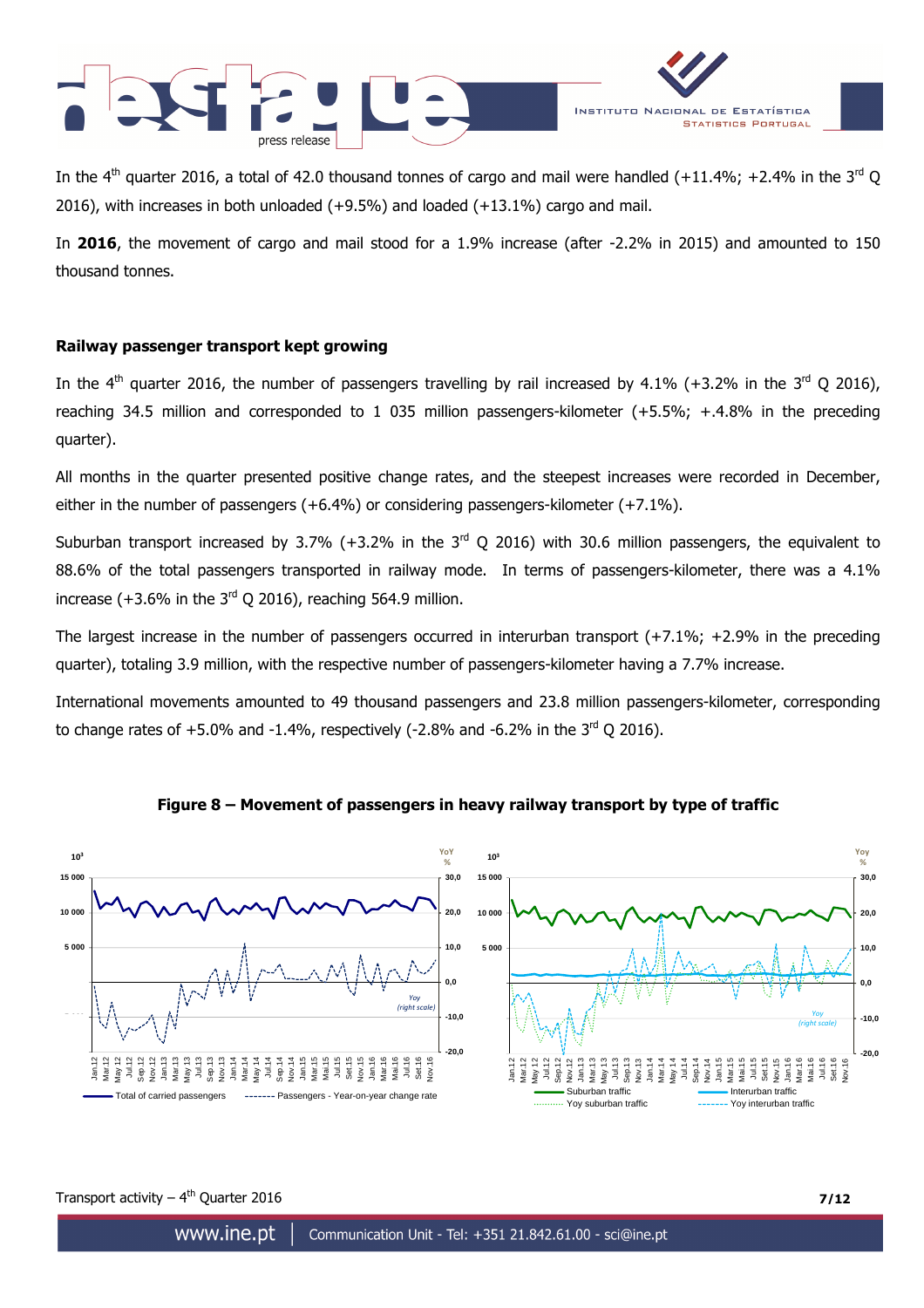



In the 4<sup>th</sup> quarter 2016, a total of 42.0 thousand tonnes of cargo and mail were handled (+11.4%; +2.4% in the 3<sup>rd</sup> Q 2016), with increases in both unloaded (+9.5%) and loaded (+13.1%) cargo and mail.

In **2016**, the movement of cargo and mail stood for a 1.9% increase (after -2.2% in 2015) and amounted to 150 thousand tonnes.

### **Railway passenger transport kept growing**

In the  $4<sup>th</sup>$  quarter 2016, the number of passengers travelling by rail increased by 4.1% (+3.2% in the  $3<sup>rd</sup>$  Q 2016), reaching 34.5 million and corresponded to 1 035 million passengers-kilometer (+5.5%; +.4.8% in the preceding quarter).

All months in the quarter presented positive change rates, and the steepest increases were recorded in December, either in the number of passengers (+6.4%) or considering passengers-kilometer (+7.1%).

Suburban transport increased by 3.7% (+3.2% in the  $3^{rd}$  Q 2016) with 30.6 million passengers, the equivalent to 88.6% of the total passengers transported in railway mode. In terms of passengers-kilometer, there was a 4.1% increase (+3.6% in the  $3<sup>rd</sup>$  Q 2016), reaching 564.9 million.

The largest increase in the number of passengers occurred in interurban transport (+7.1%; +2.9% in the preceding quarter), totaling 3.9 million, with the respective number of passengers-kilometer having a 7.7% increase.

International movements amounted to 49 thousand passengers and 23.8 million passengers-kilometer, corresponding to change rates of  $+5.0\%$  and  $-1.4\%$ , respectively ( $-2.8\%$  and  $-6.2\%$  in the  $3<sup>rd</sup>$  Q 2016).



### **Figure 8 – Movement of passengers in heavy railway transport by type of traffic**

Transport activity  $-4^{th}$  Quarter 2016 **7/12**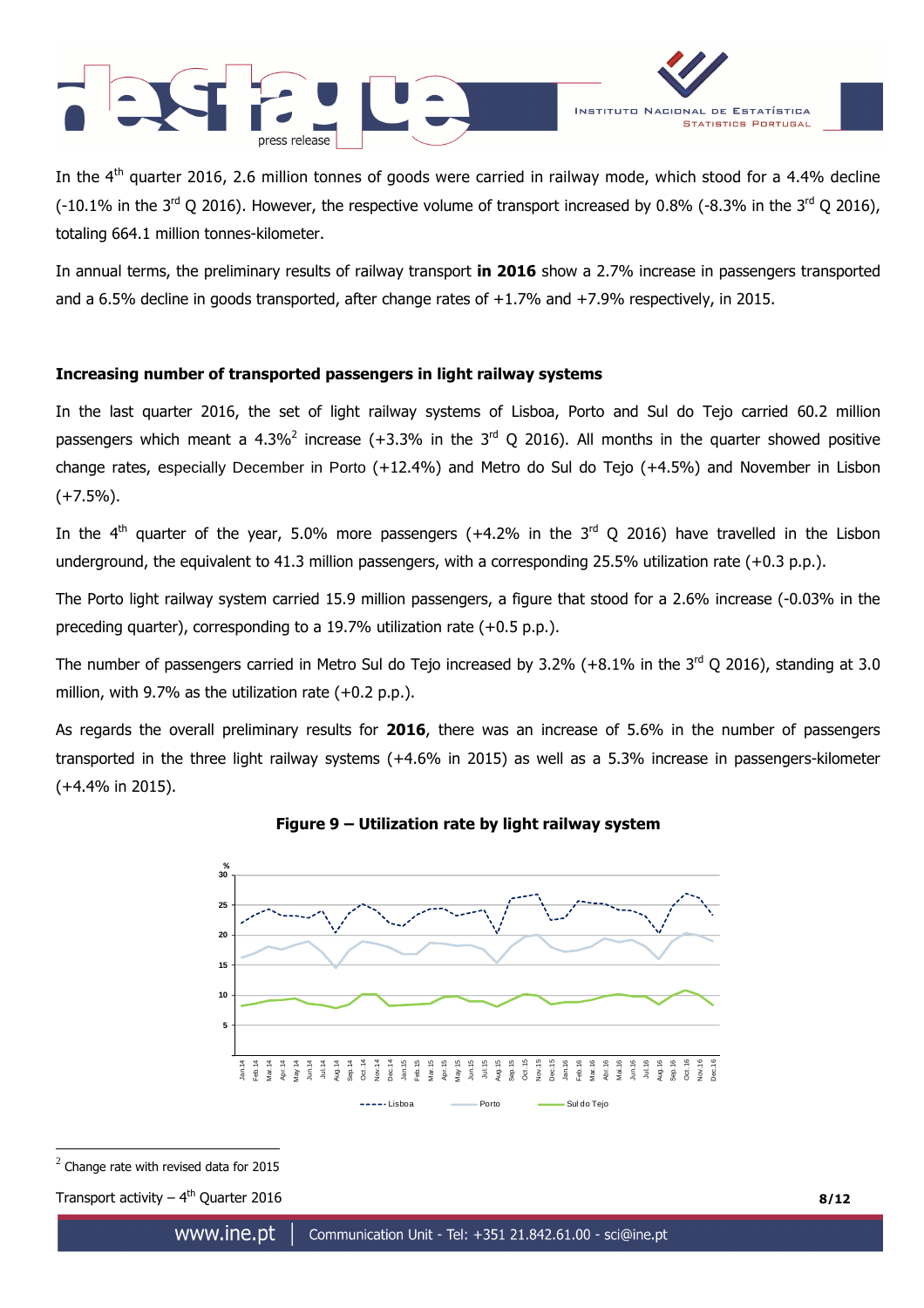



In the 4<sup>th</sup> quarter 2016, 2.6 million tonnes of goods were carried in railway mode, which stood for a 4.4% decline  $(0.1\%$  in the 3<sup>rd</sup> Q 2016). However, the respective volume of transport increased by 0.8% (-8.3% in the 3<sup>rd</sup> Q 2016). totaling 664.1 million tonnes-kilometer.

In annual terms, the preliminary results of railway transport **in 2016** show a 2.7% increase in passengers transported and a 6.5% decline in goods transported, after change rates of +1.7% and +7.9% respectively, in 2015.

# **Increasing number of transported passengers in light railway systems**

In the last quarter 2016, the set of light railway systems of Lisboa, Porto and Sul do Tejo carried 60.2 million passengers which meant a 4.3%<sup>2</sup> increase (+3.3% in the 3<sup>rd</sup> Q 2016). All months in the quarter showed positive change rates, especially December in Porto (+12.4%) and Metro do Sul do Tejo (+4.5%) and November in Lisbon (+7.5%).

In the 4<sup>th</sup> quarter of the year, 5.0% more passengers (+4.2% in the 3<sup>rd</sup> Q 2016) have travelled in the Lisbon underground, the equivalent to 41.3 million passengers, with a corresponding 25.5% utilization rate (+0.3 p.p.).

The Porto light railway system carried 15.9 million passengers, a figure that stood for a 2.6% increase (-0.03% in the preceding quarter), corresponding to a 19.7% utilization rate (+0.5 p.p.).

The number of passengers carried in Metro Sul do Tejo increased by 3.2% (+8.1% in the  $3^{rd}$  Q 2016), standing at 3.0 million, with 9.7% as the utilization rate (+0.2 p.p.).

As regards the overall preliminary results for **2016**, there was an increase of 5.6% in the number of passengers transported in the three light railway systems (+4.6% in 2015) as well as a 5.3% increase in passengers-kilometer (+4.4% in 2015).



**Figure 9 – Utilization rate by light railway system**

 $\overline{a}$ 

Transport activity  $-4^{th}$  Quarter 2016 **8/12** 

<sup>2</sup> Change rate with revised data for 2015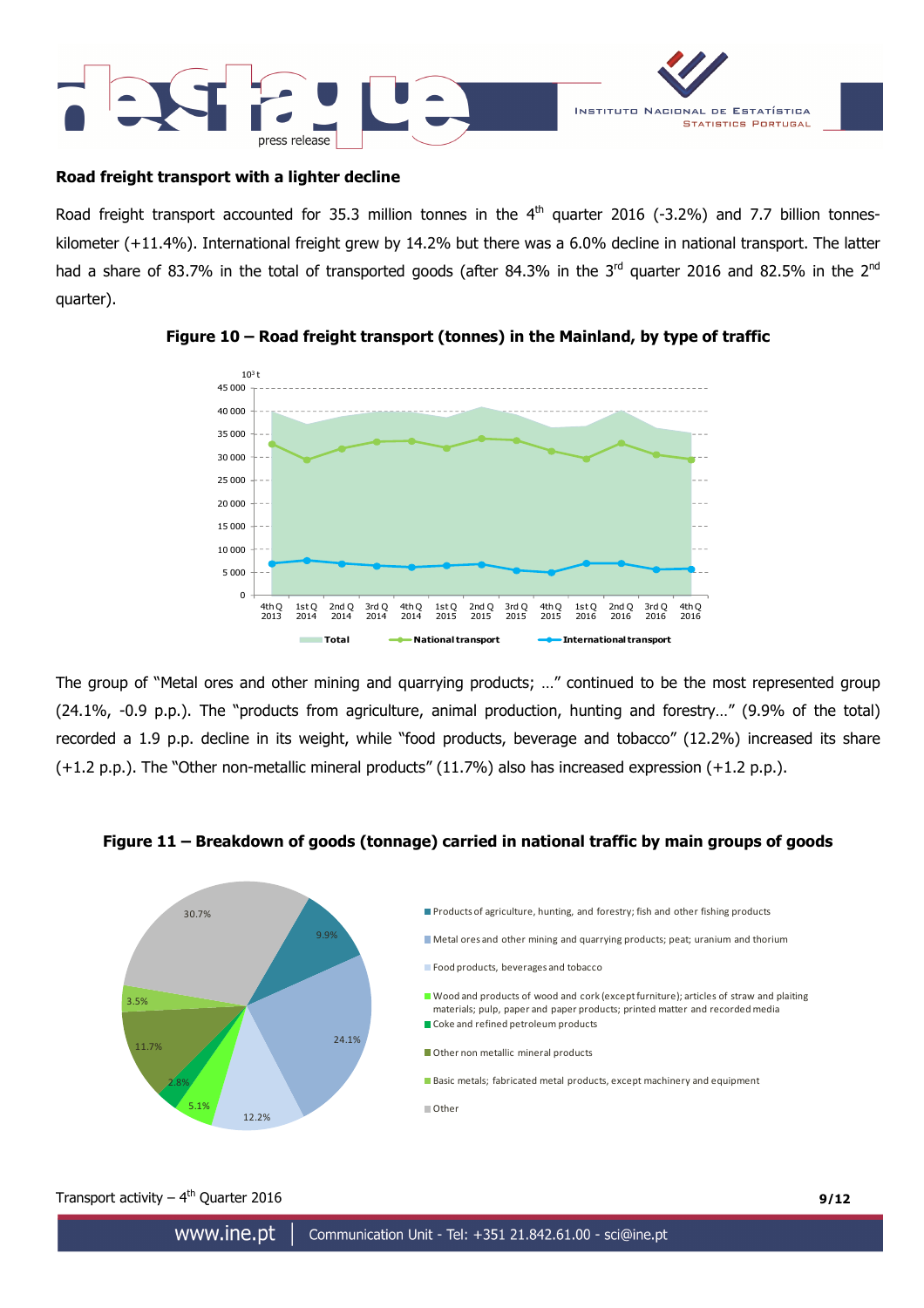



### **Road freight transport with a lighter decline**

Road freight transport accounted for 35.3 million tonnes in the  $4<sup>th</sup>$  quarter 2016 (-3.2%) and 7.7 billion tonneskilometer (+11.4%). International freight grew by 14.2% but there was a 6.0% decline in national transport. The latter had a share of 83.7% in the total of transported goods (after 84.3% in the 3<sup>rd</sup> quarter 2016 and 82.5% in the 2<sup>nd</sup> quarter).



# **Figure 10 – Road freight transport (tonnes) in the Mainland, by type of traffic**

The group of "Metal ores and other mining and quarrying products; …" continued to be the most represented group (24.1%, -0.9 p.p.). The "products from agriculture, animal production, hunting and forestry…" (9.9% of the total) recorded a 1.9 p.p. decline in its weight, while "food products, beverage and tobacco" (12.2%) increased its share (+1.2 p.p.). The "Other non-metallic mineral products" (11.7%) also has increased expression (+1.2 p.p.).

#### 9.9% 24.1% 12.2% 5.1% 2.8% 11.7% 3.5% 30.7% Products of agriculture, hunting, and forestry; fish and other fishing products Metal ores and other mining and quarrying products; peat; uranium and thorium **Food products, beverages and tobacco** Wood and products of wood and cork (except furniture); articles of straw and plaiting materials; pulp, paper and paper products; printed matter and recorded media Coke and refined petroleum products Other non metallic mineral products Basic metals; fabricated metal products, except machinery and equipment **Other**

### **Figure 11 – Breakdown of goods (tonnage) carried in national traffic by main groups of goods**

# Transport activity  $-4^{th}$  Quarter 2016 **9/12**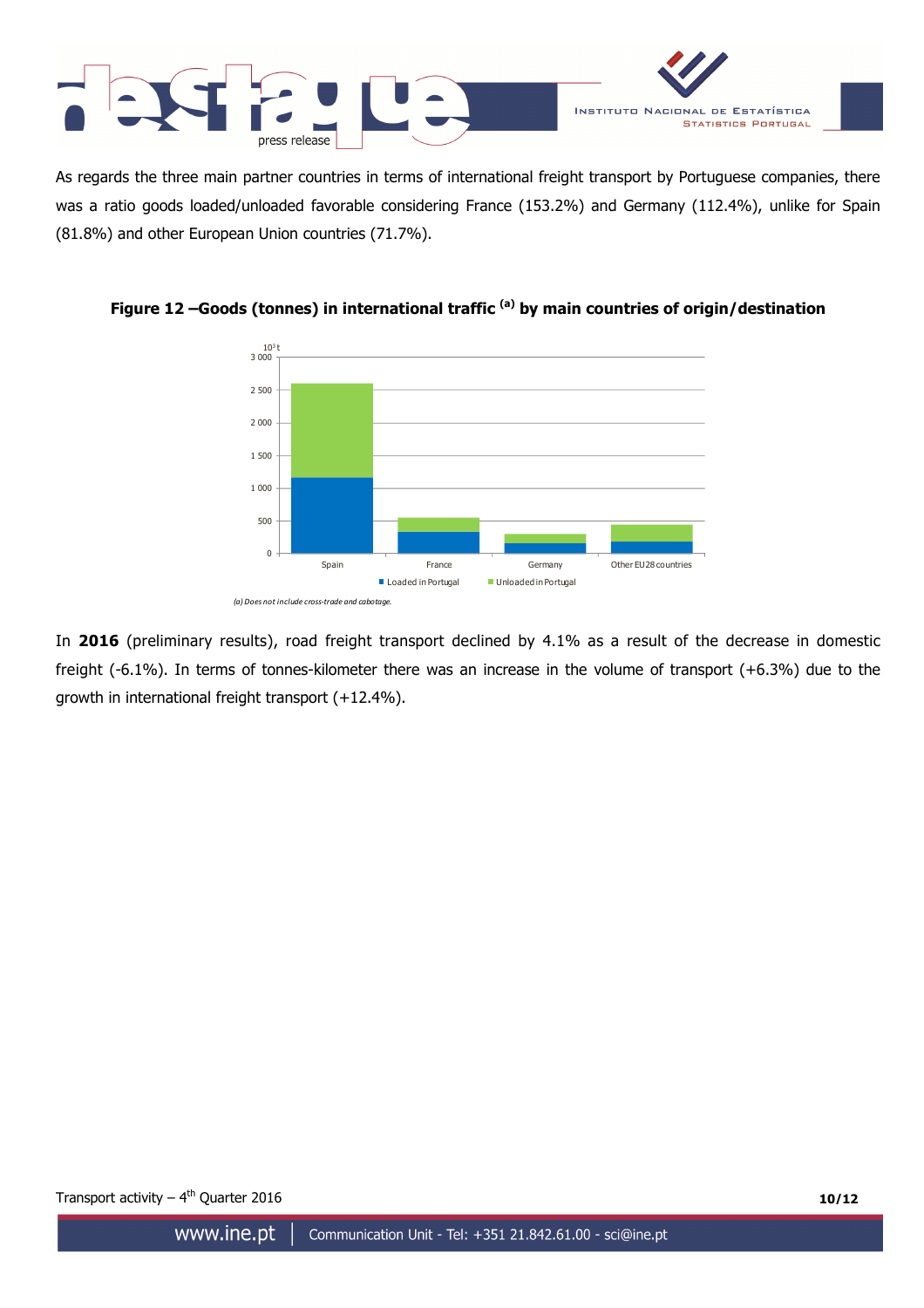

As regards the three main partner countries in terms of international freight transport by Portuguese companies, there was a ratio goods loaded/unloaded favorable considering France (153.2%) and Germany (112.4%), unlike for Spain (81.8%) and other European Union countries (71.7%).



**Figure 12 –Goods (tonnes) in international traffic (a) by main countries of origin/destination**

In **2016** (preliminary results), road freight transport declined by 4.1% as a result of the decrease in domestic freight (-6.1%). In terms of tonnes-kilometer there was an increase in the volume of transport (+6.3%) due to the growth in international freight transport (+12.4%).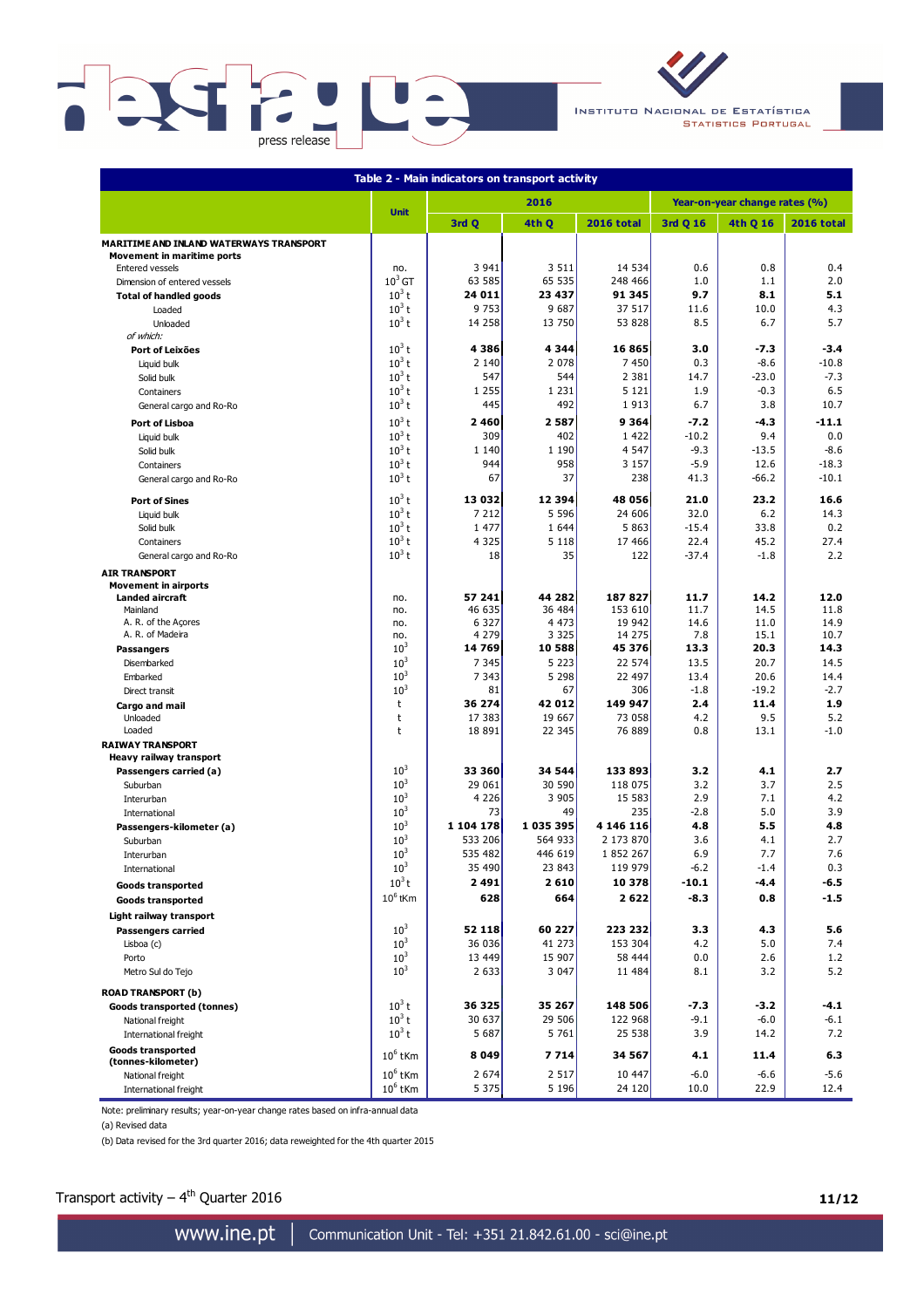

INSTITUTO NACIONAL DE ESTATÍSTICA **STATISTICS PORTUGAL** 

| Table 2 - Main indicators on transport activity        |                             |                    |                    |                   |                               |              |                   |  |  |  |  |  |
|--------------------------------------------------------|-----------------------------|--------------------|--------------------|-------------------|-------------------------------|--------------|-------------------|--|--|--|--|--|
|                                                        |                             |                    | 2016               |                   | Year-on-year change rates (%) |              |                   |  |  |  |  |  |
|                                                        | <b>Unit</b>                 | 3rd Q              | 4th Q              | <b>2016 total</b> | 3rd Q 16                      | 4th Q 16     | <b>2016 total</b> |  |  |  |  |  |
| MARITIME AND INLAND WATERWAYS TRANSPORT                |                             |                    |                    |                   |                               |              |                   |  |  |  |  |  |
| <b>Movement in maritime ports</b>                      |                             | 3 9 4 1            | 3 5 1 1            | 14 534            |                               |              |                   |  |  |  |  |  |
| <b>Entered vessels</b><br>Dimension of entered vessels | no.<br>$10^3$ GT            | 63 585             | 65 535             | 248 466           | 0.6<br>1.0                    | 0.8<br>1.1   | 0.4<br>2.0        |  |  |  |  |  |
| <b>Total of handled goods</b>                          | $10^3 t$                    | 24 011             | 23 437             | 91 345            | 9.7                           | 8.1          | 5.1               |  |  |  |  |  |
| Loaded                                                 | $10^3$ t                    | 9 7 5 3            | 9 6 8 7            | 37 517            | 11.6                          | 10.0         | 4.3               |  |  |  |  |  |
| Unloaded                                               | $10^3$ t                    | 14 2 58            | 13 750             | 53 828            | 8.5                           | 6.7          | 5.7               |  |  |  |  |  |
| of which:                                              |                             |                    |                    |                   |                               |              |                   |  |  |  |  |  |
| <b>Port of Leixões</b>                                 | $10^3$ t                    | 4386               | 4 3 4 4            | 16865             | 3.0                           | -7.3         | $-3.4$            |  |  |  |  |  |
| Liquid bulk                                            | $10^3$ t                    | 2 1 4 0            | 2 0 7 8            | 7 450             | 0.3                           | $-8.6$       | $-10.8$           |  |  |  |  |  |
| Solid bulk                                             | $10^3$ t                    | 547                | 544                | 2 3 8 1           | 14.7                          | $-23.0$      | $-7.3$            |  |  |  |  |  |
| Containers                                             | $10^3$ t                    | 1 2 5 5            | 1 2 3 1            | 5 1 2 1           | 1.9                           | $-0.3$       | 6.5               |  |  |  |  |  |
| General cargo and Ro-Ro                                | $10^3$ t                    | 445                | 492                | 1913              | 6.7                           | 3.8          | 10.7              |  |  |  |  |  |
| Port of Lisboa                                         | $10^3$ t                    | 2460               | 2587               | 9364              | $-7.2$                        | $-4.3$       | $-11.1$           |  |  |  |  |  |
| Liquid bulk                                            | $10^3$ t                    | 309                | 402                | 1 4 2 2           | $-10.2$                       | 9.4          | 0.0               |  |  |  |  |  |
| Solid bulk                                             | $10^3$ t                    | 1 1 4 0            | 1 1 9 0            | 4 5 4 7           | $-9.3$                        | $-13.5$      | $-8.6$            |  |  |  |  |  |
| Containers                                             | $10^3$ t                    | 944                | 958                | 3 1 5 7           | $-5.9$                        | 12.6         | $-18.3$           |  |  |  |  |  |
| General cargo and Ro-Ro                                | $10^3$ t                    | 67                 | 37                 | 238               | 41.3                          | $-66.2$      | $-10.1$           |  |  |  |  |  |
| <b>Port of Sines</b>                                   | $10^3$ t                    | 13 032             | 12 394             | 48 056            | 21.0                          | 23.2         | 16.6              |  |  |  |  |  |
| Liquid bulk                                            | $10^3$ t                    | 7 2 1 2            | 5 5 9 6            | 24 606            | 32.0                          | 6.2          | 14.3              |  |  |  |  |  |
| Solid bulk                                             | $10^3$ t                    | 1 477              | 1 6 4 4            | 5 8 6 3           | $-15.4$                       | 33.8         | 0.2               |  |  |  |  |  |
| Containers                                             | $10^3$ t                    | 4 3 2 5            | 5 1 1 8            | 17 466            | 22.4                          | 45.2         | 27.4              |  |  |  |  |  |
| General cargo and Ro-Ro                                | $10^3$ t                    | 18                 | 35                 | 122               | $-37.4$                       | $-1.8$       | 2.2               |  |  |  |  |  |
| <b>AIR TRANSPORT</b>                                   |                             |                    |                    |                   |                               |              |                   |  |  |  |  |  |
| <b>Movement in airports</b>                            |                             |                    |                    |                   |                               |              |                   |  |  |  |  |  |
| <b>Landed aircraft</b>                                 | no.                         | 57 241             | 44 282             | 187827            | 11.7                          | 14.2         | 12.0              |  |  |  |  |  |
| Mainland                                               | no.                         | 46 635             | 36 484             | 153 610           | 11.7                          | 14.5         | 11.8              |  |  |  |  |  |
| A. R. of the Açores                                    | no.                         | 6 3 2 7<br>4 2 7 9 | 4 4 7 3<br>3 3 2 5 | 19 942<br>14 275  | 14.6                          | 11.0<br>15.1 | 14.9              |  |  |  |  |  |
| A. R. of Madeira                                       | no.<br>$10^{3}$             | 14 769             | 10 588             | 45 376            | 7.8<br>13.3                   | 20.3         | 10.7<br>14.3      |  |  |  |  |  |
| <b>Passangers</b><br>Disembarked                       | 10 <sup>3</sup>             | 7 3 4 5            | 5 2 2 3            | 22 574            | 13.5                          | 20.7         | 14.5              |  |  |  |  |  |
| Embarked                                               | $10^{3}$                    | 7 3 4 3            | 5 2 9 8            | 22 497            | 13.4                          | 20.6         | 14.4              |  |  |  |  |  |
| Direct transit                                         | $10^{3}$                    | 81                 | 67                 | 306               | $-1.8$                        | $-19.2$      | $-2.7$            |  |  |  |  |  |
| Cargo and mail                                         | t                           | 36 274             | 42 012             | 149 947           | 2.4                           | 11.4         | 1.9               |  |  |  |  |  |
| Unloaded                                               | t                           | 17 383             | 19 667             | 73 058            | 4.2                           | 9.5          | 5.2               |  |  |  |  |  |
| Loaded                                                 | t                           | 18 891             | 22 345             | 76 889            | 0.8                           | 13.1         | $-1.0$            |  |  |  |  |  |
| <b>RAIWAY TRANSPORT</b>                                |                             |                    |                    |                   |                               |              |                   |  |  |  |  |  |
| Heavy railway transport                                |                             |                    |                    |                   |                               |              |                   |  |  |  |  |  |
| Passengers carried (a)                                 | 10 <sup>3</sup>             | 33 360             | 34 544             | 133 893           | 3.2                           | 4.1          | 2.7               |  |  |  |  |  |
| Suburban                                               | 10 <sup>3</sup>             | 29 061             | 30 590             | 118 075           | 3.2                           | 3.7          | 2.5               |  |  |  |  |  |
| Interurban                                             | 10 <sup>3</sup>             | 4 2 2 6            | 3 9 0 5            | 15 583            | 2.9                           | 7.1          | 4.2               |  |  |  |  |  |
| International                                          | $10^3\,$<br>10 <sup>3</sup> | 73<br>1 104 178    | 49<br>1 035 395    | 235<br>4 146 116  | $-2.8$<br>4.8                 | 5.0<br>5.5   | 3.9<br>4.8        |  |  |  |  |  |
| Passengers-kilometer (a)                               | 10 <sup>3</sup>             | 533 206            | 564 933            | 2 173 870         | 3.6                           | 4.1          | 2.7               |  |  |  |  |  |
| Suburban<br>Interurban                                 | $10^{3}$                    | 535 482            | 446 619            | 1 852 267         | 6.9                           | 7.7          | 7.6               |  |  |  |  |  |
| International                                          | $10^{3}$                    | 35 490             | 23 843             | 119 979           | $-6.2$                        | $-1.4$       | 0.3               |  |  |  |  |  |
|                                                        | $10^3$ t                    | 2491               | 2 6 1 0            | 10 378            | $-10.1$                       | -4.4         | $-6.5$            |  |  |  |  |  |
| <b>Goods transported</b>                               | $10^6$ tKm                  | 628                | 664                | 2622              | $-8.3$                        | 0.8          | $-1.5$            |  |  |  |  |  |
| <b>Goods transported</b>                               |                             |                    |                    |                   |                               |              |                   |  |  |  |  |  |
| Light railway transport                                | $10^3\,$                    |                    |                    | 223 232           |                               |              |                   |  |  |  |  |  |
| <b>Passengers carried</b>                              | 10 <sup>3</sup>             | 52 118<br>36 036   | 60 227<br>41 273   | 153 304           | 3.3<br>4.2                    | 4.3<br>5.0   | 5.6<br>7.4        |  |  |  |  |  |
| Lisboa (c)                                             | 10 <sup>3</sup>             | 13 4 49            | 15 907             | 58 444            | 0.0                           | 2.6          | 1.2               |  |  |  |  |  |
| Porto<br>Metro Sul do Tejo                             | 10 <sup>3</sup>             | 2 6 3 3            | 3 0 4 7            | 11 484            | 8.1                           | 3.2          | 5.2               |  |  |  |  |  |
|                                                        |                             |                    |                    |                   |                               |              |                   |  |  |  |  |  |
| <b>ROAD TRANSPORT (b)</b>                              |                             |                    |                    |                   |                               |              |                   |  |  |  |  |  |
| Goods transported (tonnes)                             | $10^3$ t                    | 36 325             | 35 267             | 148 506           | -7.3                          | $-3.2$       | -4.1              |  |  |  |  |  |
| National freight                                       | $10^3$ t                    | 30 637             | 29 506             | 122 968           | $-9.1$                        | $-6.0$       | -6.1              |  |  |  |  |  |
| International freight                                  | $10^3$ t                    | 5 6 8 7            | 5 7 6 1            | 25 538            | 3.9                           | 14.2         | 7.2               |  |  |  |  |  |
| <b>Goods transported</b><br>(tonnes-kilometer)         | $10^6$ tKm                  | 8 0 4 9            | 7 7 14             | 34 567            | 4.1                           | 11.4         | 6.3               |  |  |  |  |  |
| National freight                                       | $10^6$ tKm                  | 2 6 7 4            | 2 5 1 7            | 10 447            | $-6.0$                        | $-6.6$       | -5.6              |  |  |  |  |  |
| International freight                                  | $10^6$ tKm                  | 5 3 7 5            | 5 1 9 6            | 24 120            | 10.0                          | 22.9         | 12.4              |  |  |  |  |  |
|                                                        |                             |                    |                    |                   |                               |              |                   |  |  |  |  |  |

Note: preliminary results; year-on-year change rates based on infra-annual data

(a) Revised data

(b) Data revised for the 3rd quarter 2016; data reweighted for the 4th quarter 2015

# Transport activity  $-4^{th}$  Quarter 2016 **11/12**